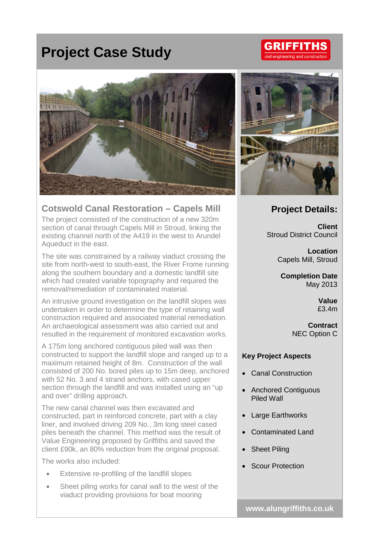## **Project Case Study**



## **Cotswold Canal Restoration – Capels Mill**

The project consisted of the construction of a new 320m section of canal through Capels Mill in Stroud, linking the existing channel north of the A419 in the west to Arundel Aqueduct in the east.

The site was constrained by a railway viaduct crossing the site from north-west to south-east, the River Frome running along the southern boundary and a domestic landfill site which had created variable topography and required the removal/remediation of contaminated material.

An intrusive ground investigation on the landfill slopes was undertaken in order to determine the type of retaining wall construction required and associated material remediation. An archaeological assessment was also carried out and resulted in the requirement of monitored excavation works.

A 175m long anchored contiguous piled wall was then constructed to support the landfill slope and ranged up to a maximum retained height of 8m. Construction of the wall consisted of 200 No. bored piles up to 15m deep, anchored with 52 No. 3 and 4 strand anchors, with cased upper section through the landfill and was installed using an "up and over" drilling approach.

The new canal channel was then excavated and constructed, part in reinforced concrete, part with a clay liner, and involved driving 209 No., 3m long steel cased piles beneath the channel. This method was the result of Value Engineering proposed by Griffiths and saved the client £90k, an 80% reduction from the original proposal.

The works also included:

- Extensive re-profiling of the landfill slopes
- Sheet piling works for canal wall to the west of the viaduct providing provisions for boat mooring



## **Project Details:**

**Client** Stroud District Council

> **Location** Capels Mill, Stroud

**Completion Date** May 2013

> **Value** £3.4m

**Contract** NEC Option C

## **Key Project Aspects**

- Canal Construction
- Anchored Contiguous Piled Wall
- **Large Earthworks**
- Contaminated Land
- **Sheet Piling**
- Scour Protection